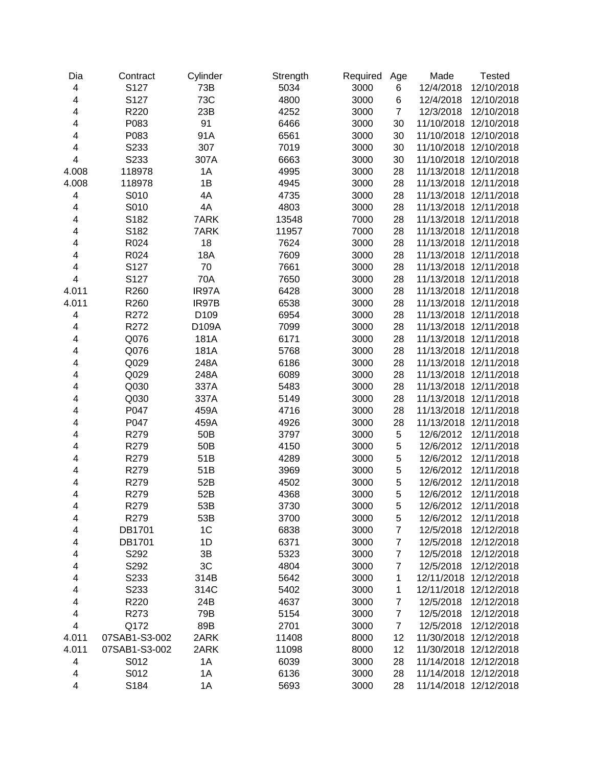| Dia                      | Contract      | Cylinder | Strength | Required | Age            | Made                  | <b>Tested</b>         |
|--------------------------|---------------|----------|----------|----------|----------------|-----------------------|-----------------------|
| 4                        | S127          | 73B      | 5034     | 3000     | 6              | 12/4/2018             | 12/10/2018            |
| 4                        | S127          | 73C      | 4800     | 3000     | 6              | 12/4/2018             | 12/10/2018            |
| $\overline{\mathbf{4}}$  | R220          | 23B      | 4252     | 3000     | $\overline{7}$ | 12/3/2018             | 12/10/2018            |
| 4                        | P083          | 91       | 6466     | 3000     | 30             | 11/10/2018            | 12/10/2018            |
| 4                        | P083          | 91A      | 6561     | 3000     | 30             | 11/10/2018            | 12/10/2018            |
| 4                        | S233          | 307      | 7019     | 3000     | 30             | 11/10/2018            | 12/10/2018            |
| 4                        | S233          | 307A     | 6663     | 3000     | 30             | 11/10/2018            | 12/10/2018            |
| 4.008                    | 118978        | 1A       | 4995     | 3000     | 28             | 11/13/2018            | 12/11/2018            |
| 4.008                    | 118978        | 1B       | 4945     | 3000     | 28             | 11/13/2018            | 12/11/2018            |
| 4                        | S010          | 4A       | 4735     | 3000     | 28             |                       | 11/13/2018 12/11/2018 |
| 4                        | S010          | 4A       | 4803     | 3000     | 28             | 11/13/2018            | 12/11/2018            |
| 4                        | S182          | 7ARK     | 13548    | 7000     | 28             | 11/13/2018            | 12/11/2018            |
| 4                        | S182          | 7ARK     | 11957    | 7000     | 28             | 11/13/2018            | 12/11/2018            |
| 4                        | R024          | 18       | 7624     | 3000     | 28             |                       | 11/13/2018 12/11/2018 |
| 4                        | R024          | 18A      | 7609     | 3000     | 28             |                       | 11/13/2018 12/11/2018 |
| 4                        | S127          | 70       | 7661     | 3000     | 28             | 11/13/2018            | 12/11/2018            |
| $\overline{\mathbf{4}}$  | S127          | 70A      | 7650     | 3000     | 28             | 11/13/2018            | 12/11/2018            |
| 4.011                    | R260          | IR97A    | 6428     | 3000     | 28             | 11/13/2018            | 12/11/2018            |
| 4.011                    | R260          | IR97B    | 6538     | 3000     | 28             | 11/13/2018            | 12/11/2018            |
| 4                        | R272          | D109     | 6954     | 3000     | 28             | 11/13/2018            | 12/11/2018            |
| 4                        | R272          | D109A    | 7099     | 3000     | 28             | 11/13/2018            | 12/11/2018            |
| 4                        | Q076          | 181A     | 6171     | 3000     | 28             | 11/13/2018            | 12/11/2018            |
| 4                        | Q076          | 181A     | 5768     | 3000     | 28             | 11/13/2018            | 12/11/2018            |
| 4                        | Q029          | 248A     | 6186     | 3000     | 28             | 11/13/2018            | 12/11/2018            |
| 4                        | Q029          | 248A     | 6089     | 3000     | 28             | 11/13/2018            | 12/11/2018            |
| 4                        | Q030          | 337A     | 5483     | 3000     | 28             | 11/13/2018            | 12/11/2018            |
| 4                        | Q030          | 337A     | 5149     | 3000     | 28             | 11/13/2018            | 12/11/2018            |
| 4                        | P047          | 459A     | 4716     | 3000     | 28             | 11/13/2018            | 12/11/2018            |
| 4                        | P047          | 459A     | 4926     | 3000     | 28             | 11/13/2018            | 12/11/2018            |
| 4                        | R279          | 50B      | 3797     | 3000     | 5              | 12/6/2012             | 12/11/2018            |
| 4                        | R279          | 50B      | 4150     | 3000     | 5              | 12/6/2012             | 12/11/2018            |
| 4                        | R279          | 51B      | 4289     | 3000     | 5              | 12/6/2012             | 12/11/2018            |
| 4                        | R279          | 51B      | 3969     | 3000     | 5              | 12/6/2012             | 12/11/2018            |
| 4                        | R279          | 52B      | 4502     | 3000     | 5              | 12/6/2012             | 12/11/2018            |
| 4                        | R279          | 52B      | 4368     | 3000     | 5              | 12/6/2012             | 12/11/2018            |
| 4                        | R279          | 53B      | 3730     | 3000     | 5              | 12/6/2012             | 12/11/2018            |
| $\overline{\mathcal{A}}$ | R279          | 53B      | 3700     | 3000     | 5              | 12/6/2012             | 12/11/2018            |
| $\overline{\mathcal{L}}$ | DB1701        | 1C       | 6838     | 3000     | $\overline{7}$ | 12/5/2018             | 12/12/2018            |
| 4                        | DB1701        | 1D       | 6371     | 3000     | $\overline{7}$ | 12/5/2018             | 12/12/2018            |
| 4                        | S292          | 3B       | 5323     | 3000     | 7              | 12/5/2018             | 12/12/2018            |
| 4                        | S292          | 3C       | 4804     | 3000     | 7              | 12/5/2018             | 12/12/2018            |
| 4                        | S233          | 314B     | 5642     | 3000     | 1              | 12/11/2018            | 12/12/2018            |
| 4                        | S233          | 314C     | 5402     | 3000     | 1              | 12/11/2018            | 12/12/2018            |
| 4                        | R220          | 24B      | 4637     | 3000     | $\overline{7}$ | 12/5/2018             | 12/12/2018            |
| 4                        | R273          | 79B      | 5154     | 3000     | $\overline{7}$ | 12/5/2018             | 12/12/2018            |
| 4                        | Q172          | 89B      | 2701     | 3000     | $\overline{7}$ | 12/5/2018             | 12/12/2018            |
| 4.011                    | 07SAB1-S3-002 | 2ARK     | 11408    | 8000     | 12             | 11/30/2018            | 12/12/2018            |
| 4.011                    | 07SAB1-S3-002 | 2ARK     | 11098    | 8000     | 12             |                       | 11/30/2018 12/12/2018 |
| 4                        | S012          | 1A       | 6039     | 3000     | 28             | 11/14/2018 12/12/2018 |                       |
| $\overline{\mathcal{A}}$ | S012          | 1A       | 6136     | 3000     | 28             |                       | 11/14/2018 12/12/2018 |
| $\overline{\mathbf{4}}$  | S184          | 1A       | 5693     | 3000     | 28             |                       | 11/14/2018 12/12/2018 |
|                          |               |          |          |          |                |                       |                       |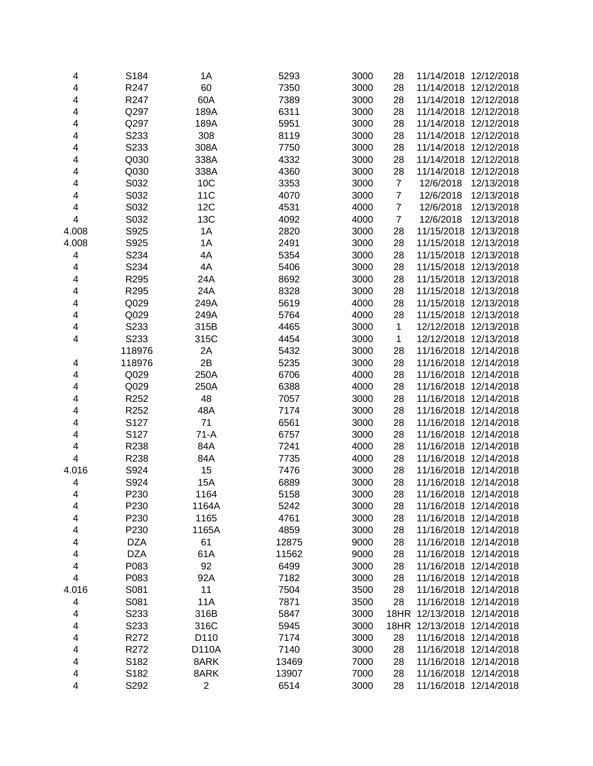| 4                       | S184             | 1A           | 5293  | 3000 | 28             | 11/14/2018 12/12/2018      |                       |
|-------------------------|------------------|--------------|-------|------|----------------|----------------------------|-----------------------|
| 4                       | R247             | 60           | 7350  | 3000 | 28             | 11/14/2018                 | 12/12/2018            |
| 4                       | R247             | 60A          | 7389  | 3000 | 28             | 11/14/2018                 | 12/12/2018            |
| 4                       | Q297             | 189A         | 6311  | 3000 | 28             | 11/14/2018                 | 12/12/2018            |
| 4                       | Q297             | 189A         | 5951  | 3000 | 28             | 11/14/2018                 | 12/12/2018            |
| 4                       | S233             | 308          | 8119  | 3000 | 28             | 11/14/2018                 | 12/12/2018            |
| 4                       | S233             | 308A         | 7750  | 3000 | 28             | 11/14/2018                 | 12/12/2018            |
| 4                       | Q030             | 338A         | 4332  | 3000 | 28             | 11/14/2018                 | 12/12/2018            |
| 4                       | Q030             | 338A         | 4360  | 3000 | 28             | 11/14/2018                 | 12/12/2018            |
| 4                       | S032             | 10C          | 3353  | 3000 | $\overline{7}$ | 12/6/2018                  | 12/13/2018            |
| 4                       | S032             | 11C          | 4070  | 3000 | $\overline{7}$ | 12/6/2018                  | 12/13/2018            |
| 4                       | S032             | 12C          | 4531  | 4000 | $\overline{7}$ | 12/6/2018                  | 12/13/2018            |
| $\overline{\mathbf{4}}$ | S032             | 13C          | 4092  | 4000 | $\overline{7}$ | 12/6/2018                  | 12/13/2018            |
| 4.008                   | S925             | 1A           | 2820  | 3000 | 28             | 11/15/2018                 | 12/13/2018            |
| 4.008                   | S925             | 1A           | 2491  | 3000 | 28             | 11/15/2018                 | 12/13/2018            |
| 4                       | S234             | 4A           | 5354  | 3000 | 28             | 11/15/2018                 | 12/13/2018            |
| 4                       | S234             | 4A           | 5406  | 3000 | 28             | 11/15/2018                 | 12/13/2018            |
| $\overline{\mathbf{4}}$ | R295             | 24A          | 8692  | 3000 | 28             | 11/15/2018                 | 12/13/2018            |
| 4                       | R295             | 24A          | 8328  | 3000 | 28             | 11/15/2018                 | 12/13/2018            |
| 4                       | Q029             | 249A         | 5619  | 4000 | 28             | 11/15/2018                 | 12/13/2018            |
| 4                       | Q029             | 249A         | 5764  | 4000 | 28             | 11/15/2018                 | 12/13/2018            |
| 4                       | S233             | 315B         | 4465  | 3000 | $\mathbf{1}$   | 12/12/2018                 | 12/13/2018            |
| 4                       | S233             | 315C         | 4454  | 3000 | $\mathbf{1}$   | 12/12/2018                 | 12/13/2018            |
|                         | 118976           | 2A           | 5432  | 3000 | 28             | 11/16/2018                 | 12/14/2018            |
| 4                       | 118976           | 2B           | 5235  | 3000 | 28             | 11/16/2018                 | 12/14/2018            |
| 4                       | Q029             | 250A         | 6706  | 4000 | 28             | 11/16/2018                 | 12/14/2018            |
| 4                       | Q029             | 250A         | 6388  | 4000 | 28             | 11/16/2018                 | 12/14/2018            |
| 4                       | R252             | 48           | 7057  | 3000 | 28             | 11/16/2018                 | 12/14/2018            |
| 4                       | R252             | 48A          | 7174  | 3000 | 28             | 11/16/2018                 | 12/14/2018            |
| 4                       | S127             | 71           | 6561  | 3000 | 28             | 11/16/2018                 | 12/14/2018            |
| 4                       | S127             | $71-A$       | 6757  | 3000 | 28             | 11/16/2018                 | 12/14/2018            |
| 4                       | R238             | 84A          | 7241  | 4000 | 28             | 11/16/2018                 | 12/14/2018            |
| $\overline{\mathbf{4}}$ | R238             | 84A          | 7735  | 4000 | 28             | 11/16/2018                 | 12/14/2018            |
| 4.016                   | S924             | 15           | 7476  | 3000 | 28             | 11/16/2018                 | 12/14/2018            |
| 4                       | S924             | 15A          | 6889  | 3000 | 28             | 11/16/2018                 | 12/14/2018            |
| 4                       | P230             | 1164         | 5158  | 3000 | 28             | 11/16/2018                 | 12/14/2018            |
| 4                       | P <sub>230</sub> | 1164A        | 5242  | 3000 | 28             |                            | 11/16/2018 12/14/2018 |
| 4                       | P230             | 1165         | 4761  | 3000 | 28             |                            | 11/16/2018 12/14/2018 |
| 4                       | P230             | 1165A        | 4859  | 3000 | 28             |                            | 11/16/2018 12/14/2018 |
| 4                       | <b>DZA</b>       | 61           | 12875 | 9000 | 28             | 11/16/2018 12/14/2018      |                       |
| 4                       | <b>DZA</b>       | 61A          | 11562 | 9000 | 28             | 11/16/2018 12/14/2018      |                       |
| 4                       | P083             | 92           | 6499  | 3000 | 28             | 11/16/2018 12/14/2018      |                       |
| 4                       | P083             | 92A          | 7182  | 3000 | 28             | 11/16/2018 12/14/2018      |                       |
| 4.016                   | S081             | 11           | 7504  | 3500 | 28             | 11/16/2018 12/14/2018      |                       |
| 4                       | S081             | <b>11A</b>   | 7871  | 3500 | 28             | 11/16/2018 12/14/2018      |                       |
| 4                       | S233             | 316B         | 5847  | 3000 | 18HR           | 12/13/2018 12/14/2018      |                       |
| 4                       | S233             | 316C         | 5945  | 3000 |                | 18HR 12/13/2018 12/14/2018 |                       |
| 4                       | R272             | D110         | 7174  | 3000 | 28             |                            | 11/16/2018 12/14/2018 |
| $\overline{\mathbf{4}}$ | R272             | D110A        | 7140  | 3000 | 28             |                            | 11/16/2018 12/14/2018 |
| 4                       | S182             | 8ARK         | 13469 | 7000 | 28             |                            | 11/16/2018 12/14/2018 |
| $\overline{\mathbf{4}}$ | S182             | 8ARK         | 13907 | 7000 | 28             |                            | 11/16/2018 12/14/2018 |
| 4                       | S292             | $\mathbf{2}$ | 6514  | 3000 | 28             |                            | 11/16/2018 12/14/2018 |
|                         |                  |              |       |      |                |                            |                       |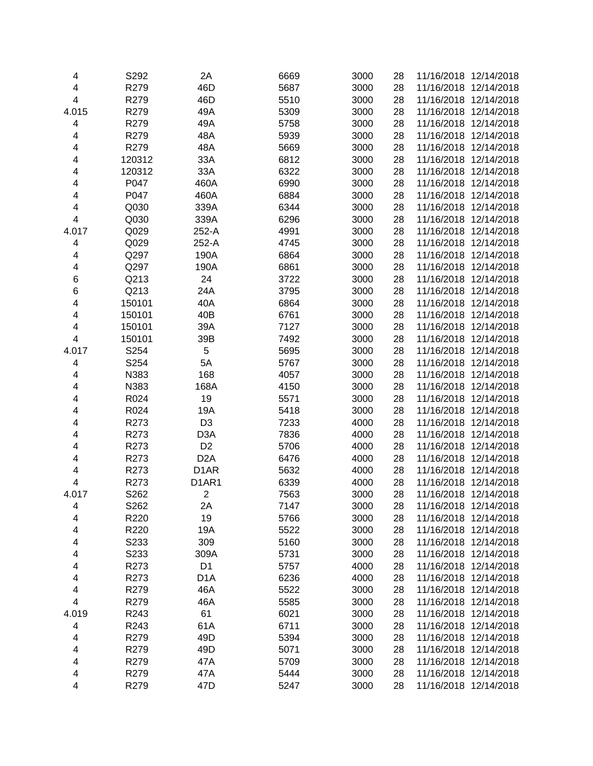| 4                        | S292   | 2A                             | 6669 | 3000 | 28 | 11/16/2018 12/14/2018 |                       |
|--------------------------|--------|--------------------------------|------|------|----|-----------------------|-----------------------|
| 4                        | R279   | 46D                            | 5687 | 3000 | 28 | 11/16/2018            | 12/14/2018            |
| 4                        | R279   | 46D                            | 5510 | 3000 | 28 | 11/16/2018            | 12/14/2018            |
| 4.015                    | R279   | 49A                            | 5309 | 3000 | 28 | 11/16/2018            | 12/14/2018            |
| 4                        | R279   | 49A                            | 5758 | 3000 | 28 | 11/16/2018            | 12/14/2018            |
| 4                        | R279   | 48A                            | 5939 | 3000 | 28 | 11/16/2018            | 12/14/2018            |
| 4                        | R279   | 48A                            | 5669 | 3000 | 28 | 11/16/2018            | 12/14/2018            |
| 4                        | 120312 | 33A                            | 6812 | 3000 | 28 | 11/16/2018 12/14/2018 |                       |
| 4                        | 120312 | 33A                            | 6322 | 3000 | 28 | 11/16/2018 12/14/2018 |                       |
| 4                        | P047   | 460A                           | 6990 | 3000 | 28 | 11/16/2018            | 12/14/2018            |
| 4                        | P047   | 460A                           | 6884 | 3000 | 28 | 11/16/2018            | 12/14/2018            |
| 4                        | Q030   | 339A                           | 6344 | 3000 | 28 | 11/16/2018            | 12/14/2018            |
| 4                        | Q030   | 339A                           | 6296 | 3000 | 28 | 11/16/2018            | 12/14/2018            |
| 4.017                    | Q029   | 252-A                          | 4991 | 3000 | 28 | 11/16/2018            | 12/14/2018            |
| 4                        | Q029   | 252-A                          | 4745 | 3000 | 28 | 11/16/2018            | 12/14/2018            |
| 4                        | Q297   | 190A                           | 6864 | 3000 | 28 | 11/16/2018            | 12/14/2018            |
| 4                        | Q297   | 190A                           | 6861 | 3000 | 28 | 11/16/2018            | 12/14/2018            |
| $\,6$                    | Q213   | 24                             | 3722 | 3000 | 28 | 11/16/2018            | 12/14/2018            |
| 6                        | Q213   | 24A                            | 3795 | 3000 | 28 | 11/16/2018            | 12/14/2018            |
| 4                        | 150101 | 40A                            | 6864 | 3000 | 28 | 11/16/2018            | 12/14/2018            |
| 4                        | 150101 | 40B                            | 6761 | 3000 | 28 | 11/16/2018            | 12/14/2018            |
| 4                        | 150101 | 39A                            | 7127 | 3000 | 28 | 11/16/2018            | 12/14/2018            |
| 4                        | 150101 | 39B                            | 7492 | 3000 | 28 | 11/16/2018            | 12/14/2018            |
| 4.017                    | S254   | $\mathbf 5$                    | 5695 | 3000 | 28 | 11/16/2018            | 12/14/2018            |
| 4                        | S254   | 5A                             | 5767 | 3000 | 28 | 11/16/2018            | 12/14/2018            |
| 4                        | N383   | 168                            | 4057 | 3000 | 28 | 11/16/2018            | 12/14/2018            |
| 4                        | N383   | 168A                           | 4150 | 3000 | 28 | 11/16/2018            | 12/14/2018            |
| 4                        | R024   | 19                             | 5571 | 3000 | 28 | 11/16/2018            | 12/14/2018            |
| 4                        | R024   | 19A                            | 5418 | 3000 | 28 | 11/16/2018            | 12/14/2018            |
| 4                        | R273   | D <sub>3</sub>                 | 7233 | 4000 | 28 | 11/16/2018            | 12/14/2018            |
| 4                        | R273   | D <sub>3</sub> A               | 7836 | 4000 | 28 | 11/16/2018            | 12/14/2018            |
| 4                        | R273   | D <sub>2</sub>                 | 5706 | 4000 | 28 | 11/16/2018            | 12/14/2018            |
| 4                        | R273   | D <sub>2</sub> A               | 6476 | 4000 | 28 | 11/16/2018            | 12/14/2018            |
| 4                        | R273   | D <sub>1</sub> AR              | 5632 | 4000 | 28 | 11/16/2018            | 12/14/2018            |
| 4                        | R273   | D <sub>1</sub> AR <sub>1</sub> | 6339 | 4000 | 28 | 11/16/2018            | 12/14/2018            |
| 4.017                    | S262   | $\overline{2}$                 | 7563 | 3000 | 28 | 11/16/2018 12/14/2018 |                       |
| 4                        | S262   | 2A                             | 7147 | 3000 | 28 | 11/16/2018 12/14/2018 |                       |
| 4                        | R220   | 19                             | 5766 | 3000 | 28 | 11/16/2018            | 12/14/2018            |
| 4                        | R220   | 19A                            | 5522 | 3000 | 28 |                       | 11/16/2018 12/14/2018 |
| 4                        | S233   | 309                            | 5160 | 3000 | 28 |                       | 11/16/2018 12/14/2018 |
| 4                        | S233   | 309A                           | 5731 | 3000 | 28 | 11/16/2018 12/14/2018 |                       |
| 4                        | R273   | D <sub>1</sub>                 | 5757 | 4000 | 28 | 11/16/2018 12/14/2018 |                       |
| 4                        | R273   | D <sub>1</sub> A               | 6236 | 4000 | 28 | 11/16/2018 12/14/2018 |                       |
| 4                        | R279   | 46A                            | 5522 | 3000 | 28 | 11/16/2018 12/14/2018 |                       |
| $\overline{\mathbf{4}}$  | R279   | 46A                            | 5585 | 3000 | 28 | 11/16/2018 12/14/2018 |                       |
| 4.019                    | R243   | 61                             | 6021 | 3000 | 28 | 11/16/2018 12/14/2018 |                       |
| $\overline{\mathcal{A}}$ | R243   | 61A                            | 6711 | 3000 | 28 | 11/16/2018 12/14/2018 |                       |
| 4                        | R279   | 49D                            | 5394 | 3000 | 28 | 11/16/2018 12/14/2018 |                       |
| 4                        | R279   | 49D                            | 5071 | 3000 | 28 | 11/16/2018 12/14/2018 |                       |
| 4                        | R279   | 47A                            | 5709 | 3000 | 28 | 11/16/2018 12/14/2018 |                       |
| 4                        | R279   | 47A                            | 5444 | 3000 | 28 | 11/16/2018 12/14/2018 |                       |
| 4                        | R279   | 47D                            | 5247 | 3000 | 28 |                       | 11/16/2018 12/14/2018 |
|                          |        |                                |      |      |    |                       |                       |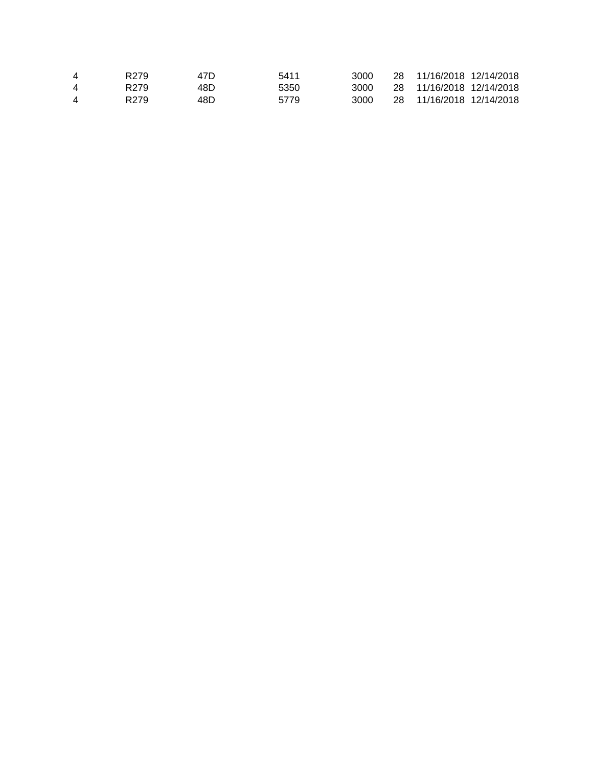| 4 | R <sub>279</sub> | 47D. | 5411 | 3000  | 28 11/16/2018 12/14/2018 |  |
|---|------------------|------|------|-------|--------------------------|--|
| 4 | R <sub>279</sub> | 48D  | 5350 | 3000. | 28 11/16/2018 12/14/2018 |  |
| 4 | R <sub>279</sub> | 48D  | 5779 | 3000  | 28 11/16/2018 12/14/2018 |  |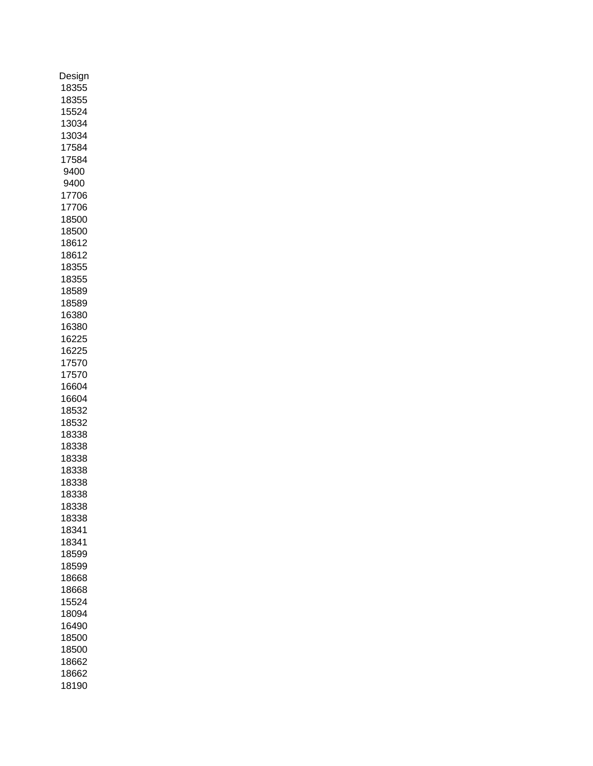| Design |
|--------|
| 18355  |
| 18355  |
| 15524  |
| 13034  |
| 13034  |
| 17584  |
|        |
| 17584  |
| 9400   |
| 9400   |
| 17706  |
| 17706  |
| 18500  |
| 18500  |
| 18612  |
| 18612  |
| 18355  |
| 18355  |
| 18589  |
| 18589  |
| 16380  |
|        |
| 16380  |
| 16225  |
| 16225  |
| 17570  |
| 17570  |
| 16604  |
| 16604  |
| 18532  |
| 18532  |
| 18338  |
| 18338  |
| 18338  |
|        |
| 18338  |
| 18338  |
| 18338  |
| 18338  |
| 18338  |
| 18341  |
| 18341  |
| 18599  |
| 18599  |
| 18668  |
| 18668  |
| 15524  |
|        |
| 18094  |
| 16490  |
| 18500  |
| 18500  |
| 18662  |
| 18662  |
| 18190  |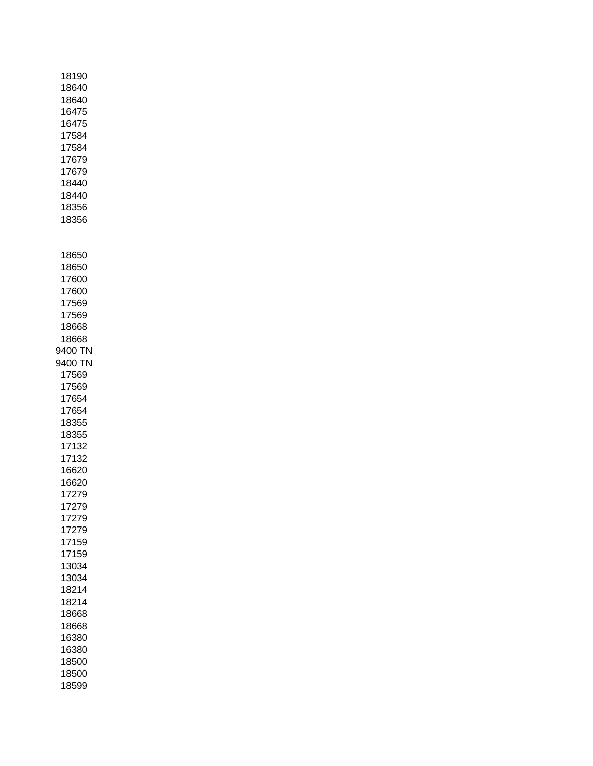|   | 18190<br>18640<br>18640<br>16475<br>16475<br>17584<br>17584<br>17679<br>17679<br>18440<br>18440<br>18356<br>18356                                                                                                                                                                                                                            |  |  |
|---|----------------------------------------------------------------------------------------------------------------------------------------------------------------------------------------------------------------------------------------------------------------------------------------------------------------------------------------------|--|--|
| 1 | 18650<br>18650<br>17600<br>17600<br>17569<br>17569<br>18668<br>18668<br>9400 TN<br>9400 TN<br>17569<br>17569<br>17654<br>17654<br>18355<br>18355<br>17132<br>17132<br>16620<br>16620<br>17279<br>17279<br>17279<br>17279<br>17159<br>17159<br>13034<br>3034<br>18214<br>18214<br>18668<br>18668<br>16380<br>16380<br>18500<br>18500<br>18599 |  |  |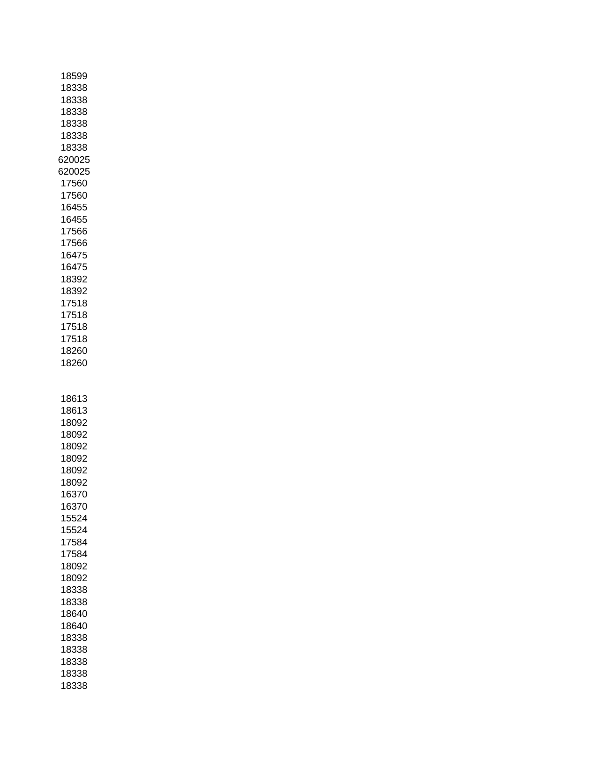| 18599  |  |
|--------|--|
| 18338  |  |
| 18338  |  |
| 18338  |  |
| 18338  |  |
| 18338  |  |
| 18338  |  |
| 620025 |  |
| 620025 |  |
| 17560  |  |
| 17560  |  |
| 16455  |  |
| 16455  |  |
| 17566  |  |
| 17566  |  |
| 16475  |  |
| 16475  |  |
| 18392  |  |
| 18392  |  |
| 17518  |  |
| 17518  |  |
| 17518  |  |
| 17518  |  |
| 18260  |  |
| 18260  |  |
|        |  |
|        |  |
| 18613  |  |
| 18613  |  |
| 18092  |  |
| 18092  |  |
| 18092  |  |
| 18092  |  |
| 18092  |  |
| 18092  |  |
| 16370  |  |
| 16370  |  |
| 15524  |  |
| 15524  |  |
| 17584  |  |
| 17584  |  |
| 18092  |  |
| 18092  |  |
| 18338  |  |
| 18338  |  |
| 18640  |  |
| 18640  |  |
| 18338  |  |
| 18338  |  |
| 18338  |  |
| 18338  |  |
| 18338  |  |